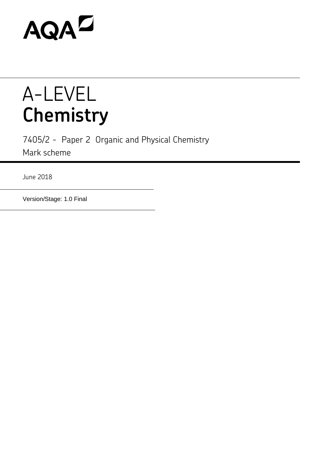# AQAD

## A-LEVEL **Chemistry**

7405/2 - Paper 2 Organic and Physical Chemistry Mark scheme

June 2018

Version/Stage: 1.0 Final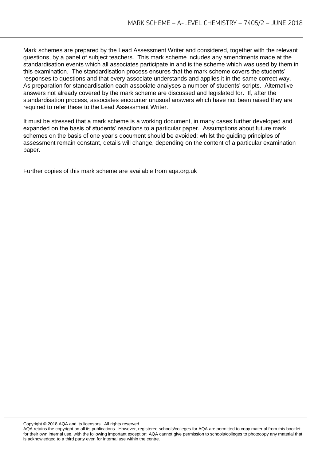Mark schemes are prepared by the Lead Assessment Writer and considered, together with the relevant questions, by a panel of subject teachers. This mark scheme includes any amendments made at the standardisation events which all associates participate in and is the scheme which was used by them in this examination. The standardisation process ensures that the mark scheme covers the students' responses to questions and that every associate understands and applies it in the same correct way. As preparation for standardisation each associate analyses a number of students' scripts. Alternative answers not already covered by the mark scheme are discussed and legislated for. If, after the standardisation process, associates encounter unusual answers which have not been raised they are required to refer these to the Lead Assessment Writer.

It must be stressed that a mark scheme is a working document, in many cases further developed and expanded on the basis of students' reactions to a particular paper. Assumptions about future mark schemes on the basis of one year's document should be avoided; whilst the guiding principles of assessment remain constant, details will change, depending on the content of a particular examination paper.

Further copies of this mark scheme are available from aqa.org.uk

Copyright © 2018 AQA and its licensors. All rights reserved.

AQA retains the copyright on all its publications. However, registered schools/colleges for AQA are permitted to copy material from this booklet for their own internal use, with the following important exception: AQA cannot give permission to schools/colleges to photocopy any material that is acknowledged to a third party even for internal use within the centre.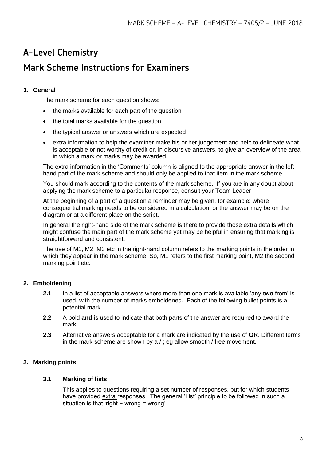### **A-Level Chemistry Mark Scheme Instructions for Examiners**

#### **1. General**

The mark scheme for each question shows:

- the marks available for each part of the question
- the total marks available for the question
- the typical answer or answers which are expected
- extra information to help the examiner make his or her judgement and help to delineate what is acceptable or not worthy of credit or, in discursive answers, to give an overview of the area in which a mark or marks may be awarded.

The extra information in the 'Comments' column is aligned to the appropriate answer in the lefthand part of the mark scheme and should only be applied to that item in the mark scheme.

You should mark according to the contents of the mark scheme. If you are in any doubt about applying the mark scheme to a particular response, consult your Team Leader.

At the beginning of a part of a question a reminder may be given, for example: where consequential marking needs to be considered in a calculation; or the answer may be on the diagram or at a different place on the script.

In general the right-hand side of the mark scheme is there to provide those extra details which might confuse the main part of the mark scheme yet may be helpful in ensuring that marking is straightforward and consistent.

The use of M1, M2, M3 etc in the right-hand column refers to the marking points in the order in which they appear in the mark scheme. So, M1 refers to the first marking point, M2 the second marking point etc.

#### **2. Emboldening**

- **2.1** In a list of acceptable answers where more than one mark is available 'any **two** from' is used, with the number of marks emboldened. Each of the following bullet points is a potential mark.
- **2.2** A bold **and** is used to indicate that both parts of the answer are required to award the mark.
- **2.3** Alternative answers acceptable for a mark are indicated by the use of **OR**. Different terms in the mark scheme are shown by a / ; eg allow smooth / free movement.

#### **3. Marking points**

#### **3.1 Marking of lists**

This applies to questions requiring a set number of responses, but for which students have provided extra responses. The general 'List' principle to be followed in such a situation is that 'right  $+$  wrong = wrong'.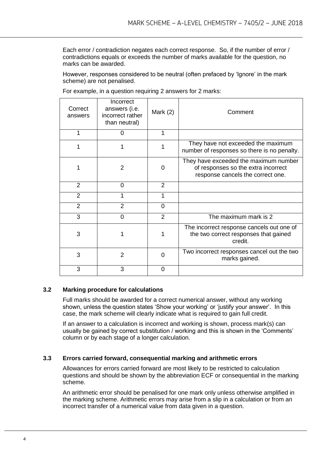Each error / contradiction negates each correct response. So, if the number of error / contradictions equals or exceeds the number of marks available for the question, no marks can be awarded.

However, responses considered to be neutral (often prefaced by 'Ignore' in the mark scheme) are not penalised.

| Correct<br>answers | Incorrect<br>answers (i.e.<br>incorrect rather<br>than neutral) | Mark $(2)$     | Comment                                                                                                           |
|--------------------|-----------------------------------------------------------------|----------------|-------------------------------------------------------------------------------------------------------------------|
| 1                  | 0                                                               | 1              |                                                                                                                   |
| 1                  |                                                                 | 1              | They have not exceeded the maximum<br>number of responses so there is no penalty.                                 |
|                    | 2                                                               | 0              | They have exceeded the maximum number<br>of responses so the extra incorrect<br>response cancels the correct one. |
| 2                  | 0                                                               | 2              |                                                                                                                   |
| $\overline{2}$     |                                                                 |                |                                                                                                                   |
| 2                  | 2                                                               | 0              |                                                                                                                   |
| 3                  | $\Omega$                                                        | $\overline{2}$ | The maximum mark is 2                                                                                             |
| 3                  |                                                                 |                | The incorrect response cancels out one of<br>the two correct responses that gained<br>credit.                     |
| 3                  | 2                                                               | 0              | Two incorrect responses cancel out the two<br>marks gained.                                                       |
| 3                  | 3                                                               | 0              |                                                                                                                   |

For example, in a question requiring 2 answers for 2 marks:

#### **3.2 Marking procedure for calculations**

Full marks should be awarded for a correct numerical answer, without any working shown, unless the question states 'Show your working' or 'justify your answer'. In this case, the mark scheme will clearly indicate what is required to gain full credit.

If an answer to a calculation is incorrect and working is shown, process mark(s) can usually be gained by correct substitution / working and this is shown in the 'Comments' column or by each stage of a longer calculation.

#### **3.3 Errors carried forward, consequential marking and arithmetic errors**

Allowances for errors carried forward are most likely to be restricted to calculation questions and should be shown by the abbreviation ECF or consequential in the marking scheme.

An arithmetic error should be penalised for one mark only unless otherwise amplified in the marking scheme. Arithmetic errors may arise from a slip in a calculation or from an incorrect transfer of a numerical value from data given in a question.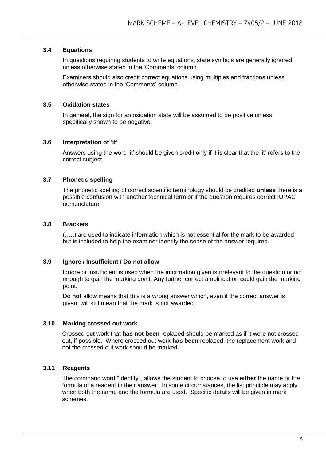#### **3.4 Equations**

In questions requiring students to write equations, state symbols are generally ignored unless otherwise stated in the 'Comments' column.

Examiners should also credit correct equations using multiples and fractions unless otherwise stated in the 'Comments' column.

#### **3.5 Oxidation states**

In general, the sign for an oxidation state will be assumed to be positive unless specifically shown to be negative.

#### **3.6 Interpretation of 'it'**

Answers using the word 'it' should be given credit only if it is clear that the 'it' refers to the correct subject.

#### **3.7 Phonetic spelling**

The phonetic spelling of correct scientific terminology should be credited **unless** there is a possible confusion with another technical term or if the question requires correct IUPAC nomenclature.

#### **3.8 Brackets**

(…..) are used to indicate information which is not essential for the mark to be awarded but is included to help the examiner identify the sense of the answer required.

#### **3.9 Ignore / Insufficient / Do not allow**

Ignore or insufficient is used when the information given is irrelevant to the question or not enough to gain the marking point. Any further correct amplification could gain the marking point.

Do **not** allow means that this is a wrong answer which, even if the correct answer is given, will still mean that the mark is not awarded.

#### **3.10 Marking crossed out work**

Crossed out work that **has not been** replaced should be marked as if it were not crossed out, if possible. Where crossed out work **has been** replaced, the replacement work and not the crossed out work should be marked.

#### **3.11 Reagents**

The command word "Identify", allows the student to choose to use **either** the name or the formula of a reagent in their answer. In some circumstances, the list principle may apply when both the name and the formula are used. Specific details will be given in mark schemes.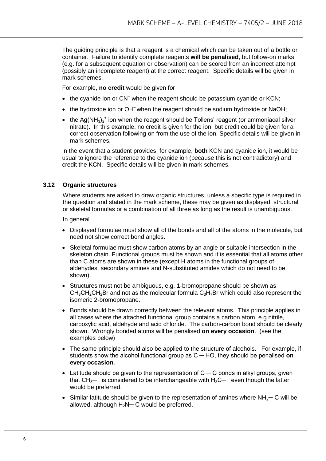The guiding principle is that a reagent is a chemical which can be taken out of a bottle or container. Failure to identify complete reagents **will be penalised**, but follow-on marks (e.g. for a subsequent equation or observation) can be scored from an incorrect attempt (possibly an incomplete reagent) at the correct reagent. Specific details will be given in mark schemes.

For example, **no credit** would be given for

- the cyanide ion or CN<sup>-</sup> when the reagent should be potassium cyanide or KCN;
- the hydroxide ion or OH<sup>-</sup> when the reagent should be sodium hydroxide or NaOH;
- the Ag(NH<sub>3</sub>)<sub>2</sub><sup>+</sup> ion when the reagent should be Tollens' reagent (or ammoniacal silver nitrate). In this example, no credit is given for the ion, but credit could be given for a correct observation following on from the use of the ion. Specific details will be given in mark schemes.

In the event that a student provides, for example, **both** KCN and cyanide ion, it would be usual to ignore the reference to the cyanide ion (because this is not contradictory) and credit the KCN. Specific details will be given in mark schemes.

#### **3.12 Organic structures**

Where students are asked to draw organic structures, unless a specific type is required in the question and stated in the mark scheme, these may be given as displayed, structural or skeletal formulas or a combination of all three as long as the result is unambiguous.

In general

- Displayed formulae must show all of the bonds and all of the atoms in the molecule, but need not show correct bond angles.
- Skeletal formulae must show carbon atoms by an angle or suitable intersection in the skeleton chain. Functional groups must be shown and it is essential that all atoms other than C atoms are shown in these (except H atoms in the functional groups of aldehydes, secondary amines and N-substituted amides which do not need to be shown).
- Structures must not be ambiguous, e.g. 1-bromopropane should be shown as  $CH<sub>3</sub>CH<sub>2</sub>CH<sub>2</sub>Br$  and not as the molecular formula  $C<sub>3</sub>H<sub>7</sub>Br$  which could also represent the isomeric 2-bromopropane.
- Bonds should be drawn correctly between the relevant atoms. This principle applies in all cases where the attached functional group contains a carbon atom, e.g nitrile, carboxylic acid, aldehyde and acid chloride. The carbon-carbon bond should be clearly shown. Wrongly bonded atoms will be penalised **on every occasion**. (see the examples below)
- The same principle should also be applied to the structure of alcohols. For example, if students show the alcohol functional group as C ─ HO, they should be penalised **on every occasion**.
- $\bullet$  Latitude should be given to the representation of C  $\sim$  C bonds in alkyl groups, given that  $CH_3$ — is considered to be interchangeable with  $H_3C$ — even though the latter would be preferred.
- Similar latitude should be given to the representation of amines where  $NH_{2}$  C will be allowed, although  $H_2N-C$  would be preferred.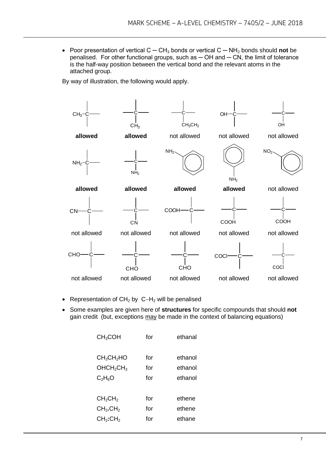Poor presentation of vertical C ─ CH<sup>3</sup> bonds or vertical C ─ NH<sup>2</sup> bonds should **not** be penalised. For other functional groups, such as  $-$  OH and  $-$  CN, the limit of tolerance is the half-way position between the vertical bond and the relevant atoms in the attached group.

By way of illustration, the following would apply.



- Representation of  $CH<sub>2</sub>$  by  $C-H<sub>2</sub>$  will be penalised
- Some examples are given here of **structures** for specific compounds that should **not** gain credit (but, exceptions may be made in the context of balancing equations)

| CH <sub>3</sub> COH                                                     | for        | ethanal            |
|-------------------------------------------------------------------------|------------|--------------------|
| CH <sub>3</sub> CH <sub>2</sub> HO<br>OHCH <sub>2</sub> CH <sub>3</sub> | for<br>for | ethanol<br>ethanol |
| $C_2H_6O$                                                               | for        | ethanol            |
|                                                                         |            |                    |
| CH <sub>2</sub> CH <sub>2</sub>                                         | for        | ethene             |
| CH <sub>2</sub> .CH <sub>2</sub>                                        | for        | ethene             |
| CH <sub>2</sub> :CH <sub>2</sub>                                        | for        | ethane             |
|                                                                         |            |                    |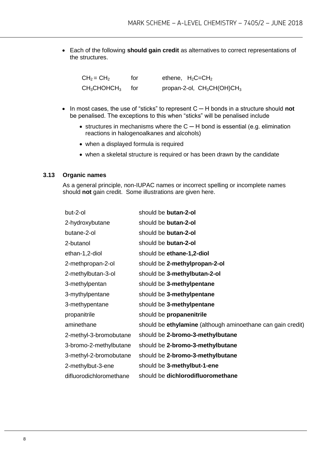Each of the following **should gain credit** as alternatives to correct representations of the structures.

 $CH_2 = CH_2$  for ethene,  $H_2C=CH_2$  $CH<sub>3</sub>CHOHCH<sub>3</sub>$  for propan-2-ol,  $CH<sub>3</sub>CH(OH)CH<sub>3</sub>$ 

- In most cases, the use of "sticks" to represent C ─ H bonds in a structure should **not** be penalised. The exceptions to this when "sticks" will be penalised include
	- structures in mechanisms where the  $C H$  bond is essential (e.g. elimination reactions in halogenoalkanes and alcohols)
	- when a displayed formula is required
	- when a skeletal structure is required or has been drawn by the candidate

#### **3.13 Organic names**

As a general principle, non-IUPAC names or incorrect spelling or incomplete names should **not** gain credit. Some illustrations are given here.

| but-2-ol                | should be butan-2-ol                                        |
|-------------------------|-------------------------------------------------------------|
| 2-hydroxybutane         | should be butan-2-ol                                        |
| butane-2-ol             | should be butan-2-ol                                        |
| 2-butanol               | should be butan-2-ol                                        |
| ethan-1,2-diol          | should be ethane-1,2-diol                                   |
| 2-methpropan-2-ol       | should be 2-methylpropan-2-ol                               |
| 2-methylbutan-3-ol      | should be 3-methylbutan-2-ol                                |
| 3-methylpentan          | should be 3-methylpentane                                   |
| 3-mythylpentane         | should be 3-methylpentane                                   |
| 3-methypentane          | should be 3-methylpentane                                   |
| propanitrile            | should be propanenitrile                                    |
| aminethane              | should be ethylamine (although aminoethane can gain credit) |
| 2-methyl-3-bromobutane  | should be 2-bromo-3-methylbutane                            |
| 3-bromo-2-methylbutane  | should be 2-bromo-3-methylbutane                            |
| 3-methyl-2-bromobutane  | should be 2-bromo-3-methylbutane                            |
| 2-methylbut-3-ene       | should be 3-methylbut-1-ene                                 |
| difluorodichloromethane | should be dichlorodifluoromethane                           |
|                         |                                                             |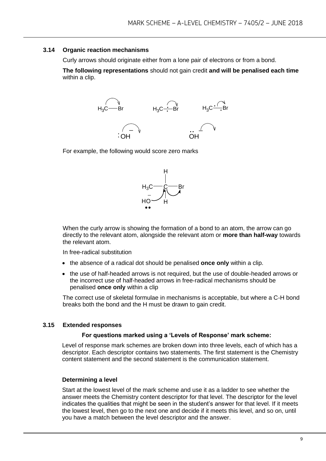#### **3.14 Organic reaction mechanisms**

Curly arrows should originate either from a lone pair of electrons or from a bond.

**The following representations** should not gain credit **and will be penalised each time**  within a clip.



For example, the following would score zero marks



When the curly arrow is showing the formation of a bond to an atom, the arrow can go directly to the relevant atom, alongside the relevant atom or **more than half-way** towards the relevant atom.

In free-radical substitution

- the absence of a radical dot should be penalised **once only** within a clip.
- the use of half-headed arrows is not required, but the use of double-headed arrows or the incorrect use of half-headed arrows in free-radical mechanisms should be penalised **once only** within a clip

The correct use of skeletal formulae in mechanisms is acceptable, but where a C-H bond breaks both the bond and the H must be drawn to gain credit.

#### **3.15 Extended responses**

#### **For questions marked using a 'Levels of Response' mark scheme:**

Level of response mark schemes are broken down into three levels, each of which has a descriptor. Each descriptor contains two statements. The first statement is the Chemistry content statement and the second statement is the communication statement.

#### **Determining a level**

Start at the lowest level of the mark scheme and use it as a ladder to see whether the answer meets the Chemistry content descriptor for that level. The descriptor for the level indicates the qualities that might be seen in the student's answer for that level. If it meets the lowest level, then go to the next one and decide if it meets this level, and so on, until you have a match between the level descriptor and the answer.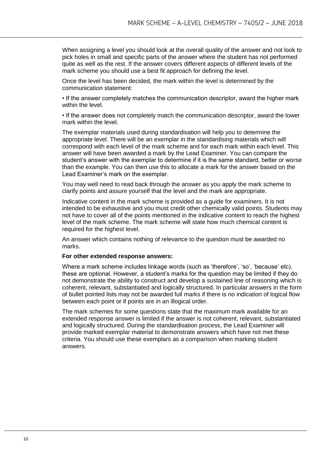When assigning a level you should look at the overall quality of the answer and not look to pick holes in small and specific parts of the answer where the student has not performed quite as well as the rest. If the answer covers different aspects of different levels of the mark scheme you should use a best fit approach for defining the level.

Once the level has been decided, the mark within the level is determined by the communication statement:

• If the answer completely matches the communication descriptor, award the higher mark within the level.

• If the answer does not completely match the communication descriptor, award the lower mark within the level.

The exemplar materials used during standardisation will help you to determine the appropriate level. There will be an exemplar in the standardising materials which will correspond with each level of the mark scheme and for each mark within each level. This answer will have been awarded a mark by the Lead Examiner. You can compare the student's answer with the exemplar to determine if it is the same standard, better or worse than the example. You can then use this to allocate a mark for the answer based on the Lead Examiner's mark on the exemplar.

You may well need to read back through the answer as you apply the mark scheme to clarify points and assure yourself that the level and the mark are appropriate.

Indicative content in the mark scheme is provided as a guide for examiners. It is not intended to be exhaustive and you must credit other chemically valid points. Students may not have to cover all of the points mentioned in the indicative content to reach the highest level of the mark scheme. The mark scheme will state how much chemical content is required for the highest level.

An answer which contains nothing of relevance to the question must be awarded no marks.

#### **For other extended response answers:**

Where a mark scheme includes linkage words (such as 'therefore', 'so', 'because' etc), these are optional. However, a student's marks for the question may be limited if they do not demonstrate the ability to construct and develop a sustained line of reasoning which is coherent, relevant, substantiated and logically structured. In particular answers in the form of bullet pointed lists may not be awarded full marks if there is no indication of logical flow between each point or if points are in an illogical order.

The mark schemes for some questions state that the maximum mark available for an extended response answer is limited if the answer is not coherent, relevant, substantiated and logically structured. During the standardisation process, the Lead Examiner will provide marked exemplar material to demonstrate answers which have not met these criteria. You should use these exemplars as a comparison when marking student answers.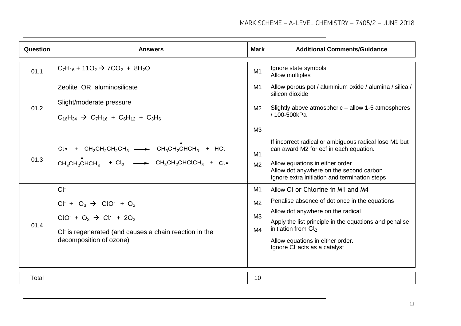| <b>Question</b> | <b>Answers</b>                                                                                                                                                                               | <b>Mark</b>                                              | <b>Additional Comments/Guidance</b>                                                                                                                                                                                                                                            |
|-----------------|----------------------------------------------------------------------------------------------------------------------------------------------------------------------------------------------|----------------------------------------------------------|--------------------------------------------------------------------------------------------------------------------------------------------------------------------------------------------------------------------------------------------------------------------------------|
| 01.1            | $C_7H_{16}$ + 110 <sub>2</sub> $\rightarrow$ 7CO <sub>2</sub> + 8H <sub>2</sub> O                                                                                                            | M1                                                       | Ignore state symbols<br>Allow multiples                                                                                                                                                                                                                                        |
| 01.2            | Zeolite OR aluminosilicate<br>Slight/moderate pressure<br>$C_{16}H_{34}$ $\rightarrow$ $C_{7}H_{16}$ + $C_{6}H_{12}$ + $C_{3}H_{6}$                                                          | M1<br>M <sub>2</sub><br>M <sub>3</sub>                   | Allow porous pot / aluminium oxide / alumina / silica /<br>silicon dioxide<br>Slightly above atmospheric – allow 1-5 atmospheres<br>/ 100-500kPa                                                                                                                               |
| 01.3            | $Cl \bullet$ + $CH_3CH_2CH_2CH_3$ $\longrightarrow$ $CH_3CH_2CHCH_3$ + HCl<br>$CH_3CH_2CHCH_3$ + Cl <sub>2</sub> $\longrightarrow$ CH <sub>3</sub> CH <sub>2</sub> CHClCH <sub>3</sub> + Cl• | M1<br>M <sub>2</sub>                                     | If incorrect radical or ambiguous radical lose M1 but<br>can award M2 for ecf in each equation.<br>Allow equations in either order<br>Allow dot anywhere on the second carbon<br>Ignore extra initiation and termination steps                                                 |
| 01.4            | Cŀ<br>$Cl+ + O3 \rightarrow ClO+ + O2$<br>$ClO+ + O3 \rightarrow Cl+ + 2O2$<br>Cl is regenerated (and causes a chain reaction in the<br>decomposition of ozone)                              | M1<br>M <sub>2</sub><br>M <sub>3</sub><br>M <sub>4</sub> | Allow Cl or Chlorine in M1 and M4<br>Penalise absence of dot once in the equations<br>Allow dot anywhere on the radical<br>Apply the list principle in the equations and penalise<br>initiation from $Cl2$<br>Allow equations in either order.<br>Ignore Cl acts as a catalyst |
| Total           |                                                                                                                                                                                              | 10                                                       |                                                                                                                                                                                                                                                                                |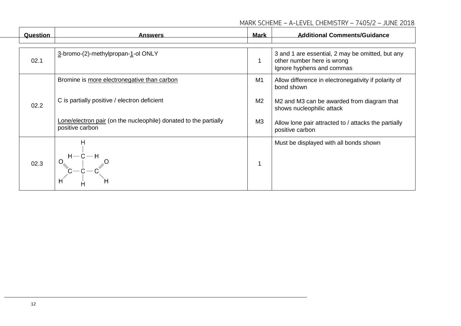#### MARK SCHEME – A-LEVEL CHEMISTRY – 7405/2 – JUNE 2018

| Question     | <b>Answers</b>                                                                      | <b>Mark</b> | <b>Additional Comments/Guidance</b>                                                                         |
|--------------|-------------------------------------------------------------------------------------|-------------|-------------------------------------------------------------------------------------------------------------|
| 02.1         | 3-bromo-(2)-methylpropan-1-ol ONLY                                                  |             | 3 and 1 are essential, 2 may be omitted, but any<br>other number here is wrong<br>Ignore hyphens and commas |
|              | Bromine is more electronegative than carbon                                         | M1          | Allow difference in electronegativity if polarity of<br>bond shown                                          |
| 02.2<br>02.3 | C is partially positive / electron deficient                                        | M2          | M2 and M3 can be awarded from diagram that<br>shows nucleophilic attack                                     |
|              | Lone/electron pair (on the nucleophile) donated to the partially<br>positive carbon | M3          | Allow lone pair attracted to / attacks the partially<br>positive carbon                                     |
|              | н                                                                                   |             | Must be displayed with all bonds shown                                                                      |
|              | H<br>Н                                                                              |             |                                                                                                             |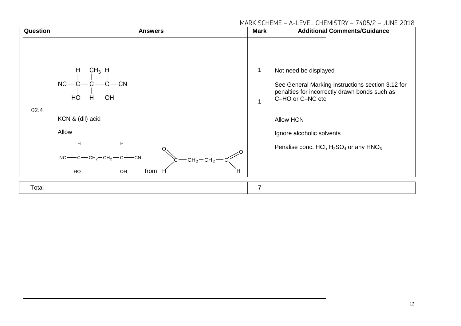#### MARK SCHEME – A-LEVEL CHEMISTRY – 7405/2 – JUNE 2018

| Question | <b>Answers</b>                                                                                                                                                                                                                             | <b>Mark</b>    | <b>Additional Comments/Guidance</b>                                                                                                                                                                                                               |
|----------|--------------------------------------------------------------------------------------------------------------------------------------------------------------------------------------------------------------------------------------------|----------------|---------------------------------------------------------------------------------------------------------------------------------------------------------------------------------------------------------------------------------------------------|
| 02.4     | $CH_3$ H<br>$NC-C-C-C-C$<br>H<br>HO<br>OH<br>KCN & (dil) acid<br>Allow<br>$C = CH_2-CH_2$ - CH <sub>2</sub> - CH <sub>2</sub> - CH <sub>2</sub> - CH <sub>2</sub> - CH <sub>2</sub> - CH <sub>2</sub> -<br>$NC$ —<br>from<br>н<br>HÓ<br>OH | 1<br>1         | Not need be displayed<br>See General Marking instructions section 3.12 for<br>penalties for incorrectly drawn bonds such as<br>C-HO or C-NC etc.<br><b>Allow HCN</b><br>Ignore alcoholic solvents<br>Penalise conc. HCl, $H_2SO_4$ or any $HNO_3$ |
| Total    |                                                                                                                                                                                                                                            | $\overline{7}$ |                                                                                                                                                                                                                                                   |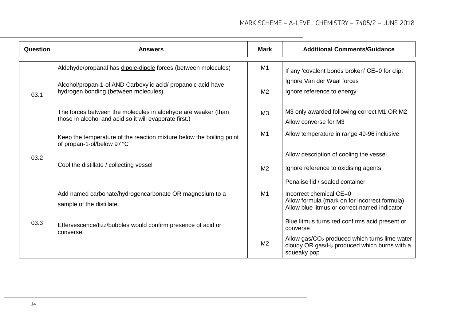| Question             | <b>Answers</b>                                                                                                          | Mark           | <b>Additional Comments/Guidance</b>                                                                                      |
|----------------------|-------------------------------------------------------------------------------------------------------------------------|----------------|--------------------------------------------------------------------------------------------------------------------------|
|                      | Aldehyde/propanal has dipole-dipole forces (between molecules)                                                          | M1             | If any 'covalent bonds broken' CE=0 for clip.                                                                            |
| 03.1<br>03.2<br>03.3 | Alcohol/propan-1-ol AND Carboxylic acid/ propanoic acid have<br>hydrogen bonding (between molecules).                   | M <sub>2</sub> | Ignore Van der Waal forces<br>Ignore reference to energy                                                                 |
|                      | The forces between the molecules in aldehyde are weaker (than<br>those in alcohol and acid so it will evaporate first.) | M <sub>3</sub> | M3 only awarded following correct M1 OR M2<br>Allow converse for M3                                                      |
|                      | Keep the temperature of the reaction mixture below the boiling point<br>of propan-1-ol/below 97 °C                      | M <sub>1</sub> | Allow temperature in range 49-96 inclusive                                                                               |
|                      |                                                                                                                         |                | Allow description of cooling the vessel                                                                                  |
|                      | Cool the distillate / collecting vessel                                                                                 | M <sub>2</sub> | Ignore reference to oxidising agents                                                                                     |
|                      |                                                                                                                         |                | Penalise lid / sealed container                                                                                          |
|                      | Add named carbonate/hydrogencarbonate OR magnesium to a<br>sample of the distillate.                                    | M1             | Incorrect chemical CE=0<br>Allow formula (mark on for incorrect formula)<br>Allow blue litmus or correct named indicator |
|                      | Effervescence/fizz/bubbles would confirm presence of acid or<br>converse                                                |                | Blue litmus turns red confirms acid present or<br>converse                                                               |
|                      |                                                                                                                         | M <sub>2</sub> | Allow gas/ $CO2$ produced which turns lime water<br>cloudy OR gas/ $H_2$ produced which burns with a<br>squeaky pop      |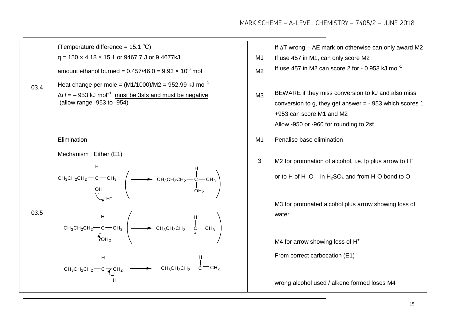|              | (Temperature difference = $15.1 \text{ }^{\circ}C$ )                                                                                                                                                                                                                                                                                                                                                                                                                                                                                                                                           |                | If $\Delta T$ wrong – AE mark on otherwise can only award M2        |
|--------------|------------------------------------------------------------------------------------------------------------------------------------------------------------------------------------------------------------------------------------------------------------------------------------------------------------------------------------------------------------------------------------------------------------------------------------------------------------------------------------------------------------------------------------------------------------------------------------------------|----------------|---------------------------------------------------------------------|
|              | $q = 150 \times 4.18 \times 15.1$ or 9467.7 J or 9.4677kJ                                                                                                                                                                                                                                                                                                                                                                                                                                                                                                                                      | M <sub>1</sub> | If use 457 in M1, can only score M2                                 |
|              | amount ethanol burned = $0.457/46.0 = 9.93 \times 10^{-3}$ mol                                                                                                                                                                                                                                                                                                                                                                                                                                                                                                                                 | M <sub>2</sub> | If use 457 in M2 can score 2 for $-0.953$ kJ mol <sup>-1</sup>      |
| 03.4<br>03.5 | Heat change per mole = $(M1/1000)/M2$ = 952.99 kJ mol <sup>-1</sup>                                                                                                                                                                                                                                                                                                                                                                                                                                                                                                                            |                |                                                                     |
|              | $\Delta H$ = - 953 kJ mol <sup>-1</sup> must be 3sfs and must be negative                                                                                                                                                                                                                                                                                                                                                                                                                                                                                                                      | M3             | BEWARE if they miss conversion to kJ and also miss                  |
|              | (allow range -953 to -954)                                                                                                                                                                                                                                                                                                                                                                                                                                                                                                                                                                     |                | conversion to g, they get answer = $-953$ which scores 1            |
|              |                                                                                                                                                                                                                                                                                                                                                                                                                                                                                                                                                                                                |                | +953 can score M1 and M2                                            |
|              |                                                                                                                                                                                                                                                                                                                                                                                                                                                                                                                                                                                                |                | Allow -950 or -960 for rounding to 2sf                              |
|              | Elimination                                                                                                                                                                                                                                                                                                                                                                                                                                                                                                                                                                                    | M1             | Penalise base elimination                                           |
|              | Mechanism: Either (E1)                                                                                                                                                                                                                                                                                                                                                                                                                                                                                                                                                                         |                |                                                                     |
|              |                                                                                                                                                                                                                                                                                                                                                                                                                                                                                                                                                                                                | 3              | M2 for protonation of alcohol, i.e. Ip plus arrow to H <sup>+</sup> |
|              | $\begin{array}{ccc}\n & H & H \\ CH_3CH_2CH_2 & -C & CH_3 & \downarrow & \downarrow \\  & H & H & \downarrow & \downarrow \\  & H & H & \downarrow & \downarrow \\  & H & H & H & \downarrow \\  & H & H & H & \downarrow \\  & H & H & H & \downarrow \\  & H & H & H & \downarrow \\  & H & H & H & \downarrow \\  & H & H & H & \downarrow \\  & H & H & H & \downarrow \\  & H & H & H & \downarrow \\  & H & H & H & \downarrow \\  & H & H & H & \downarrow \\  & H & H & H & \downarrow \\  & H & H & H & \downarrow \\  & H & H & H & \downarrow \\  & H & H & H & \downarrow \\  & H$ |                | or to H of H-O- in $H_2SO_4$ and from H-O bond to O                 |
|              |                                                                                                                                                                                                                                                                                                                                                                                                                                                                                                                                                                                                |                | M3 for protonated alcohol plus arrow showing loss of                |
|              | CH <sub>3</sub> CH <sub>2</sub> CH <sub>2</sub> - C - CH <sub>3</sub> (<br>CH <sub>3</sub> CH <sub>2</sub> CH <sub>2</sub> - C - CH <sub>3</sub> CH <sub>3</sub> CH <sub>2</sub> CH <sub>2</sub> - C - CH <sub>3</sub>                                                                                                                                                                                                                                                                                                                                                                         |                | water                                                               |
|              |                                                                                                                                                                                                                                                                                                                                                                                                                                                                                                                                                                                                |                |                                                                     |
|              |                                                                                                                                                                                                                                                                                                                                                                                                                                                                                                                                                                                                |                | M4 for arrow showing loss of H <sup>+</sup>                         |
|              |                                                                                                                                                                                                                                                                                                                                                                                                                                                                                                                                                                                                |                | From correct carbocation (E1)                                       |
|              | CH <sub>3</sub> CH <sub>2</sub> CH <sub>2</sub> - $\begin{array}{ccc} & H & H \\ \mid & &   & H \\ CH_3CH_2CH_2 \longrightarrow & CH_2 & \longrightarrow & CH_3CH_2CH_2 \longrightarrow & CH_2 \end{array}$                                                                                                                                                                                                                                                                                                                                                                                    |                |                                                                     |
|              |                                                                                                                                                                                                                                                                                                                                                                                                                                                                                                                                                                                                |                | wrong alcohol used / alkene formed loses M4                         |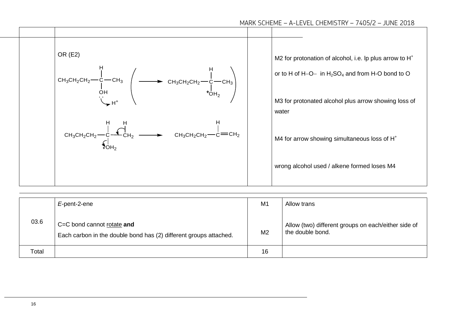

|       | E-pent-2-ene                                                                                    | M1             | Allow trans                                                             |
|-------|-------------------------------------------------------------------------------------------------|----------------|-------------------------------------------------------------------------|
| 03.6  | C=C bond cannot rotate and<br>Each carbon in the double bond has (2) different groups attached. | M <sub>2</sub> | Allow (two) different groups on each/either side of<br>the double bond. |
| Total |                                                                                                 | 16             |                                                                         |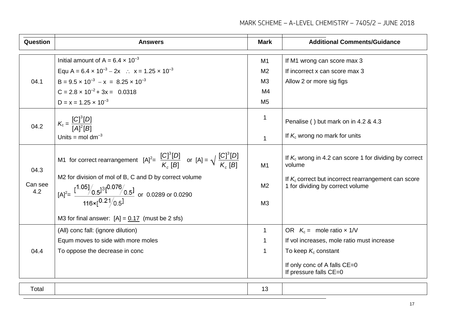| Question               | <b>Answers</b>                                                                                                                                                                                                                                                                                                                                     | <b>Mark</b>                                                                         | <b>Additional Comments/Guidance</b>                                                                                                                                   |
|------------------------|----------------------------------------------------------------------------------------------------------------------------------------------------------------------------------------------------------------------------------------------------------------------------------------------------------------------------------------------------|-------------------------------------------------------------------------------------|-----------------------------------------------------------------------------------------------------------------------------------------------------------------------|
| 04.1<br>04.2           | Initial amount of A = $6.4 \times 10^{-3}$<br>Equ A = $6.4 \times 10^{-3} - 2x$ : $x = 1.25 \times 10^{-3}$<br>$B = 9.5 \times 10^{-3} - x = 8.25 \times 10^{-3}$<br>$C = 2.8 \times 10^{-2} + 3x = 0.0318$<br>$D = x = 1.25 \times 10^{-3}$<br>$K_c = \frac{[C]^3[D]}{[A]^2[B]}$<br>Units = mol dm <sup>-3</sup>                                  | M1<br>M <sub>2</sub><br>M <sub>3</sub><br>M4<br>M <sub>5</sub><br>1<br>$\mathbf{1}$ | If M1 wrong can score max 3<br>If incorrect x can score max 3<br>Allow 2 or more sig figs<br>Penalise () but mark on in 4.2 & 4.3<br>If $K_c$ wrong no mark for units |
| 04.3<br>Can see<br>4.2 | M1 for correct rearrangement $[A]^2 = \frac{[C]^3[D]}{K_2[B]}$ or $[A] = \sqrt{\frac{[C]^3[D]}{K_2[B]}}$<br>M2 for division of mol of B, C and D by correct volume<br>$[A]^2 = \frac{[1.05]}{16 \times [0.21]}\begin{bmatrix} 0.076 & 0.51 \\ 0.51 & 0.0289 \text{ or } 0.0290 \end{bmatrix}$<br>M3 for final answer: $[A] = 0.17$ (must be 2 sfs) | M1<br>M <sub>2</sub><br>M <sub>3</sub>                                              | If $K_c$ wrong in 4.2 can score 1 for dividing by correct<br>volume<br>If $K_c$ correct but incorrect rearrangement can score<br>1 for dividing by correct volume     |
| 04.4                   | (All) conc fall: (ignore dilution)<br>Equm moves to side with more moles<br>To oppose the decrease in conc                                                                                                                                                                                                                                         | $\mathbf{1}$<br>1<br>1                                                              | OR $K_c =$ mole ratio $\times$ 1/V<br>If vol increases, mole ratio must increase<br>To keep $K_c$ constant<br>If only conc of A falls CE=0<br>If pressure falls CE=0  |
| Total                  |                                                                                                                                                                                                                                                                                                                                                    | 13                                                                                  |                                                                                                                                                                       |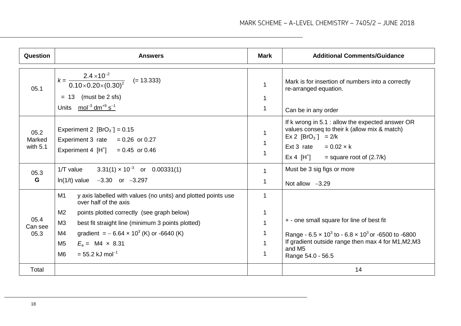| <b>Question</b>              | <b>Answers</b>                                                                                                                                                                                                                                                                                                                                          | Mark                       | <b>Additional Comments/Guidance</b>                                                                                                                                                                                                                   |
|------------------------------|---------------------------------------------------------------------------------------------------------------------------------------------------------------------------------------------------------------------------------------------------------------------------------------------------------------------------------------------------------|----------------------------|-------------------------------------------------------------------------------------------------------------------------------------------------------------------------------------------------------------------------------------------------------|
| 05.1                         | $k = \frac{2.4 \times 10^{-2}}{0.10 \times 0.20 \times (0.30)^2}$ (= 13.333)<br>(must be 2 sfs)<br>$= 13$<br>Units $mol^{-3}$ dm <sup>+9</sup> s <sup>-1</sup>                                                                                                                                                                                          | 1                          | Mark is for insertion of numbers into a correctly<br>re-arranged equation.<br>Can be in any order                                                                                                                                                     |
| 05.2<br>Marked<br>with $5.1$ | Experiment 2 $[BrO3^-] = 0.15$<br>Experiment 3 rate $= 0.26$ or 0.27<br>Experiment 4 $[H^+]$ = 0.45 or 0.46                                                                                                                                                                                                                                             | 1                          | If k wrong in 5.1 : allow the expected answer OR<br>values conseq to their k (allow mix & match)<br>$\text{Ex 2}$ [BrO <sub>3</sub> <sup>-</sup> ] = 2/k<br>Ext 3 rate $= 0.02 \times k$<br>$\mathsf{Ex}\ 4\ \mathsf{[H}^+]$ = square root of (2.7/k) |
| 05.3<br>G                    | $3.31(1) \times 10^{-3}$ or 0.00331(1)<br>$1/T$ value<br>$ln(1/t)$ value $-3.30$ or $-3.297$                                                                                                                                                                                                                                                            | $\mathbf{1}$<br>1          | Must be 3 sig figs or more<br>Not allow $-3.29$                                                                                                                                                                                                       |
| 05.4<br>Can see<br>05.3      | M1<br>y axis labelled with values (no units) and plotted points use<br>over half of the axis<br>M <sub>2</sub><br>points plotted correctly (see graph below)<br>M3<br>best fit straight line (minimum 3 points plotted)<br>gradient = $-6.64 \times 10^3$ (K) or -6640 (K)<br>M4<br>$E_a = M4 \times 8.31$<br>M5<br>$= 55.2$ kJ mol <sup>-1</sup><br>M6 | 1<br>1<br>$\mathbf 1$<br>1 | + - one small square for line of best fit<br>Range - $6.5 \times 10^3$ to - $6.8 \times 10^3$ or -6500 to -6800<br>If gradient outside range then max 4 for M1, M2, M3<br>and M <sub>5</sub><br>Range 54.0 - 56.5                                     |
| Total                        |                                                                                                                                                                                                                                                                                                                                                         |                            | 14                                                                                                                                                                                                                                                    |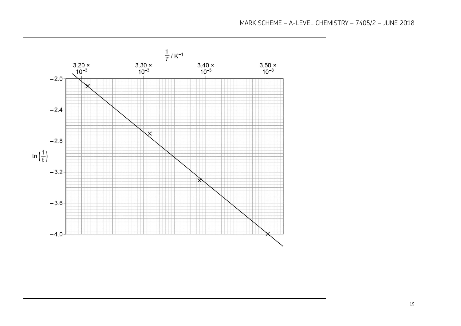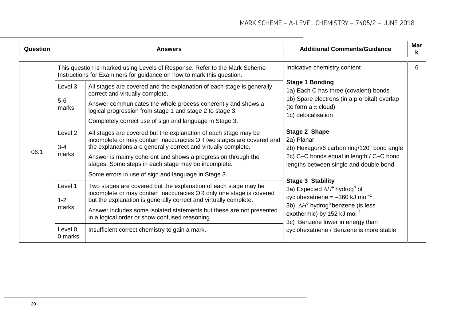| <b>Question</b> |                                                                                                                                                                                                                                                                                                                                                                                                                                                                       | <b>Answers</b>                                                                                                                                                                                                                                                                                                                                                                              | <b>Additional Comments/Guidance</b>                                                                                                                                                                                                                                               | <b>Mar</b><br>k |
|-----------------|-----------------------------------------------------------------------------------------------------------------------------------------------------------------------------------------------------------------------------------------------------------------------------------------------------------------------------------------------------------------------------------------------------------------------------------------------------------------------|---------------------------------------------------------------------------------------------------------------------------------------------------------------------------------------------------------------------------------------------------------------------------------------------------------------------------------------------------------------------------------------------|-----------------------------------------------------------------------------------------------------------------------------------------------------------------------------------------------------------------------------------------------------------------------------------|-----------------|
|                 |                                                                                                                                                                                                                                                                                                                                                                                                                                                                       | This question is marked using Levels of Response. Refer to the Mark Scheme<br>Instructions for Examiners for guidance on how to mark this question.                                                                                                                                                                                                                                         | Indicative chemistry content                                                                                                                                                                                                                                                      |                 |
|                 | Level 3<br>$5-6$<br>marks                                                                                                                                                                                                                                                                                                                                                                                                                                             | All stages are covered and the explanation of each stage is generally<br>correct and virtually complete.<br>Answer communicates the whole process coherently and shows a<br>logical progression from stage 1 and stage 2 to stage 3.                                                                                                                                                        | <b>Stage 1 Bonding</b><br>1a) Each C has three (covalent) bonds<br>1b) Spare electrons (in a p orbital) overlap<br>(to form a $\pi$ cloud)<br>1c) delocalisation                                                                                                                  |                 |
| 06.1            | Completely correct use of sign and language in Stage 3.<br>Stage 2 Shape<br>All stages are covered but the explanation of each stage may be<br>Level <sub>2</sub><br>incomplete or may contain inaccuracies OR two stages are covered and<br>2a) Planar<br>the explanations are generally correct and virtually complete.<br>$3 - 4$<br>marks<br>Answer is mainly coherent and shows a progression through the<br>stages. Some steps in each stage may be incomplete. | 2b) Hexagon/6 carbon ring/120° bond angle<br>2c) C-C bonds equal in length / C-C bond<br>lengths between single and double bond                                                                                                                                                                                                                                                             |                                                                                                                                                                                                                                                                                   |                 |
|                 | Level 1<br>$1 - 2$<br>marks                                                                                                                                                                                                                                                                                                                                                                                                                                           | Some errors in use of sign and language in Stage 3.<br>Two stages are covered but the explanation of each stage may be<br>incomplete or may contain inaccuracies OR only one stage is covered<br>but the explanation is generally correct and virtually complete.<br>Answer includes some isolated statements but these are not presented<br>in a logical order or show confused reasoning. | <b>Stage 3 Stability</b><br>3a) Expected $\Delta H^{\circ}$ hydrog <sup>n</sup> of<br>cyclohexatriene = $-360$ kJ mol <sup>-1</sup><br>3b) $\Delta H^{\circ}$ hydrog <sup>n</sup> benzene (is less<br>exothermic) by 152 kJ mol <sup>-1</sup><br>3c) Benzene lower in energy than |                 |
|                 | Level 0<br>0 marks                                                                                                                                                                                                                                                                                                                                                                                                                                                    | Insufficient correct chemistry to gain a mark.                                                                                                                                                                                                                                                                                                                                              | cyclohexatriene / Benzene is more stable                                                                                                                                                                                                                                          |                 |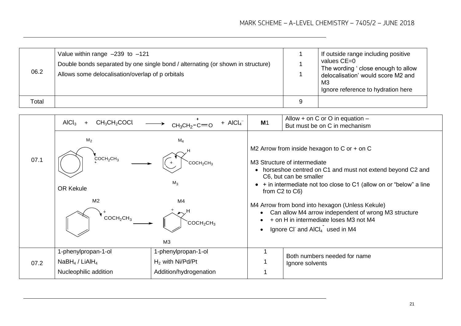| 06.2  | Value within range $-239$ to $-121$<br>Double bonds separated by one single bond / alternating (or shown in structure)<br>Allows some delocalisation/overlap of p orbitals | If outside range including positive<br>values CE=0<br>The wording ' close enough to allow<br>delocalisation' would score M2 and<br>M <sub>3</sub><br>Ignore reference to hydration here |
|-------|----------------------------------------------------------------------------------------------------------------------------------------------------------------------------|-----------------------------------------------------------------------------------------------------------------------------------------------------------------------------------------|
| Total |                                                                                                                                                                            |                                                                                                                                                                                         |

|      | CH <sub>3</sub> CH <sub>2</sub> COCl<br>AICl <sub>3</sub><br>$+$                                                          | $+$ AICl <sub>4</sub><br>$CH3CH2-C=O$                               | M <sub>1</sub>                                                                                                                                                                                  | Allow + on C or O in equation $-$<br>But must be on C in mechanism                                                                                                                                                                                                   |  |  |
|------|---------------------------------------------------------------------------------------------------------------------------|---------------------------------------------------------------------|-------------------------------------------------------------------------------------------------------------------------------------------------------------------------------------------------|----------------------------------------------------------------------------------------------------------------------------------------------------------------------------------------------------------------------------------------------------------------------|--|--|
| 07.1 | M <sub>2</sub><br>$M_4$<br>$\text{COCH}_2\text{CH}_3$<br>COCH <sub>2</sub> CH <sub>3</sub><br>M <sub>2</sub><br>OR Kekule |                                                                     |                                                                                                                                                                                                 | M2 Arrow from inside hexagon to C or $+$ on C<br>M3 Structure of intermediate<br>• horseshoe centred on C1 and must not extend beyond C2 and<br>C6, but can be smaller<br>• + in intermediate not too close to C1 (allow on or "below" a line<br>from $C2$ to $C6$ ) |  |  |
|      | M <sub>2</sub><br>M <sub>4</sub><br>COCH <sub>2</sub> CH <sub>3</sub><br>COCH <sub>2</sub> CH <sub>3</sub><br>M3          |                                                                     | M4 Arrow from bond into hexagon (Unless Kekule)<br>Can allow M4 arrow independent of wrong M3 structure<br>+ on H in intermediate loses M3 not M4<br>Ignore CI and AICI <sub>4</sub> used in M4 |                                                                                                                                                                                                                                                                      |  |  |
| 07.2 | 1-phenylpropan-1-ol<br>$N$ aBH <sub>4</sub> / LiAlH <sub>4</sub><br>Nucleophilic addition                                 | 1-phenylpropan-1-ol<br>$H2$ with Ni/Pd/Pt<br>Addition/hydrogenation |                                                                                                                                                                                                 | Both numbers needed for name<br>Ignore solvents                                                                                                                                                                                                                      |  |  |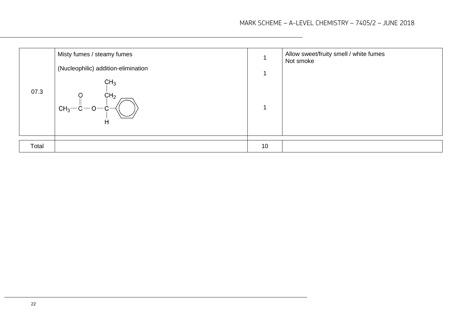| 07.3  | Misty fumes / steamy fumes<br>(Nucleophilic) addition-elimination<br>CH <sub>3</sub><br>CH <sub>2</sub><br>O<br>$CH_3-C$<br>H |    | Allow sweet/fruity smell / white fumes<br>Not smoke |
|-------|-------------------------------------------------------------------------------------------------------------------------------|----|-----------------------------------------------------|
| Total |                                                                                                                               | 10 |                                                     |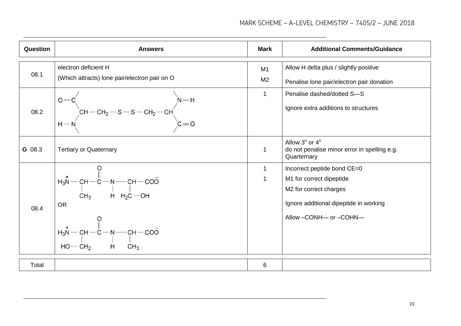| Question | <b>Answers</b>                                                                                                                                                     | <b>Mark</b>          | <b>Additional Comments/Guidance</b>                                                                                                                               |
|----------|--------------------------------------------------------------------------------------------------------------------------------------------------------------------|----------------------|-------------------------------------------------------------------------------------------------------------------------------------------------------------------|
| 08.1     | electron deficient H<br>(Which attracts) lone pair/electron pair on O                                                                                              | M1<br>M <sub>2</sub> | Allow H delta plus / slightly positive<br>Penalise lone pair/electron pair donation                                                                               |
|          | 08.2 $\begin{vmatrix} 0 & = & c' \\ & & \\ H & -N & \\ & & \\ \end{vmatrix}$ CH-CH <sub>2</sub> -S-S-CH <sub>2</sub> -CH <sub>2</sub><br>C=O                       | 1                    | Penalise dashed/dotted S-S<br>Ignore extra additions to structures                                                                                                |
| G 08.3   | <b>Tertiary or Quaternary</b>                                                                                                                                      | $\mathbf 1$          | Allow $3^\circ$ or $4^\circ$<br>do not penalise minor error in spelling e.g.<br>Quarternary                                                                       |
| 08.4     | $H_3N$ - CH - C - N - CH - COO<br>CH <sub>3</sub> H H <sub>2</sub> C - OH<br><b>OR</b><br>$H_3N$ - CH - C - N - CH - COO<br>HO - CH <sub>2</sub> H CH <sub>3</sub> | 1<br>1               | Incorrect peptide bond CE=0<br>M <sub>1</sub> for correct dipeptide<br>M2 for correct charges<br>Ignore additional dipeptide in working<br>Allow -CONH- or -COHN- |

Total | 6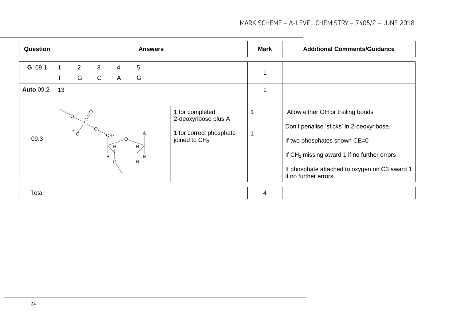| Question         |    |                     |                              |                      |             | <b>Answers</b>                                                                                  | <b>Mark</b>              | <b>Additional Comments/Guidance</b>                                                                                                                                                                                                      |
|------------------|----|---------------------|------------------------------|----------------------|-------------|-------------------------------------------------------------------------------------------------|--------------------------|------------------------------------------------------------------------------------------------------------------------------------------------------------------------------------------------------------------------------------------|
| G 09.1           | T  | $\overline{2}$<br>G | $\mathbf{3}$<br>$\mathsf{C}$ | 4<br>A               | 5<br>G      |                                                                                                 |                          |                                                                                                                                                                                                                                          |
| <b>Auto 09.2</b> | 13 |                     |                              |                      |             |                                                                                                 |                          |                                                                                                                                                                                                                                          |
| 09.3             |    |                     |                              | CH <sub>2</sub><br>Ĥ | н<br>н<br>Ĥ | 1 for completed<br>2-deoxyribose plus A<br>1 for correct phosphate<br>joined to CH <sub>2</sub> | $\overline{\phantom{a}}$ | Allow either OH or trailing bonds<br>Don't penalise 'sticks' in 2-deoxyribose.<br>If two phosphates shown CE=0<br>If $CH2$ missing award 1 if no further errors<br>If phosphate attached to oxygen on C3 award 1<br>if no further errors |
| Total            |    |                     |                              |                      |             |                                                                                                 | 4                        |                                                                                                                                                                                                                                          |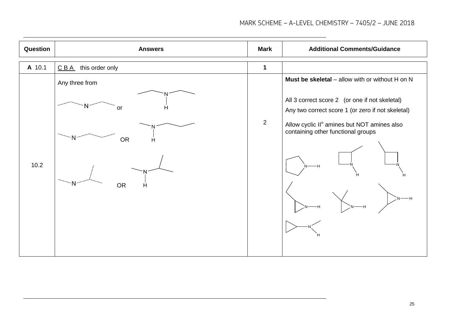| Question | <b>Answers</b>         | <b>Mark</b> | <b>Additional Comments/Guidance</b>                                                                 |
|----------|------------------------|-------------|-----------------------------------------------------------------------------------------------------|
| A 10.1   | CBA<br>this order only | 1           |                                                                                                     |
|          | Any three from         |             | Must be skeletal - allow with or without H on N                                                     |
|          | N<br>Н<br>or           |             | All 3 correct score 2 (or one if not skeletal)<br>Any two correct score 1 (or zero if not skeletal) |
|          | OR<br>H                | 2           | Allow cyclic II <sup>°</sup> amines but NOT amines also<br>containing other functional groups       |
| 10.2     |                        |             | -н                                                                                                  |
|          | N<br><b>OR</b><br>H    |             |                                                                                                     |
|          |                        |             |                                                                                                     |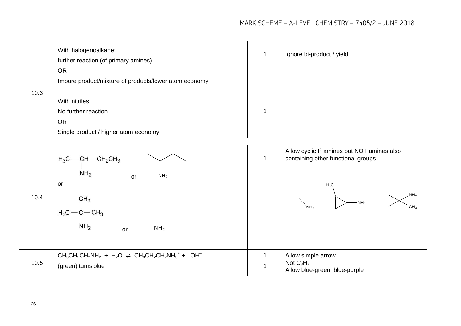|      | With halogenoalkane:<br>further reaction (of primary amines) | Ignore bi-product / yield                                                                    |
|------|--------------------------------------------------------------|----------------------------------------------------------------------------------------------|
|      | <b>OR</b>                                                    |                                                                                              |
|      | Impure product/mixture of products/lower atom economy        |                                                                                              |
| 10.3 |                                                              |                                                                                              |
|      | With nitriles                                                |                                                                                              |
|      | No further reaction                                          |                                                                                              |
|      | <b>OR</b>                                                    |                                                                                              |
|      | Single product / higher atom economy                         |                                                                                              |
|      |                                                              |                                                                                              |
|      | $H_3C$ - $CH$ - $CH_2CH_3$                                   | Allow cyclic I <sup>°</sup> amines but NOT amines also<br>containing other functional groups |

| 10.4 | NH <sub>2</sub><br>NH <sub>2</sub><br>or<br>or<br>CH <sub>3</sub><br>$H_3C - C - CH_3$<br>NH <sub>2</sub><br>NH <sub>2</sub><br>or |                         | $H_3C$<br>$\mathcal{M}_{2}$<br>$-NH2$<br>CH <sub>3</sub><br>NH <sub>2</sub> |
|------|------------------------------------------------------------------------------------------------------------------------------------|-------------------------|-----------------------------------------------------------------------------|
| 10.5 | $CH_3CH_2CH_2NH_2 + H_2O \rightleftharpoons CH_3CH_2CH_2NH_3^+ + OH^-$<br>(green) turns blue                                       | $\overline{\mathbf{A}}$ | Allow simple arrow<br>Not $C_3H_7$<br>Allow blue-green, blue-purple         |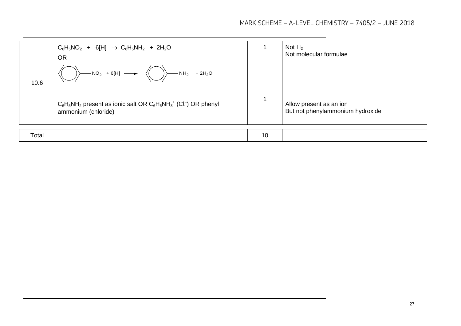|       | $C_6H_5NO_2$ + 6[H] $\rightarrow C_6H_5NH_2$ + 2H <sub>2</sub> O<br><b>OR</b>                            |    | Not $H_2$<br>Not molecular formulae                         |
|-------|----------------------------------------------------------------------------------------------------------|----|-------------------------------------------------------------|
| 10.6  | $-NO_2$ + 6[H]<br>$-NH_2$<br>$+2H2O$                                                                     |    |                                                             |
|       | $C_6H_5NH_2$ present as ionic salt OR $C_6H_5NH_3^+$ (Cl <sup>-</sup> ) OR phenyl<br>ammonium (chloride) |    | Allow present as an ion<br>But not phenylammonium hydroxide |
| Total |                                                                                                          | 10 |                                                             |